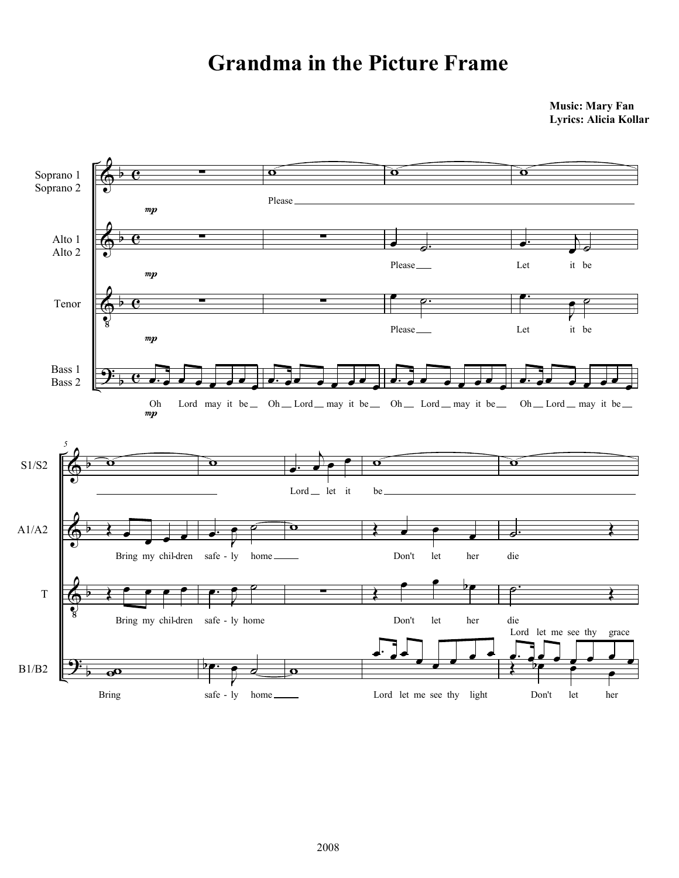## **Music: Mary Fan Lyrics: Alicia Kollar**

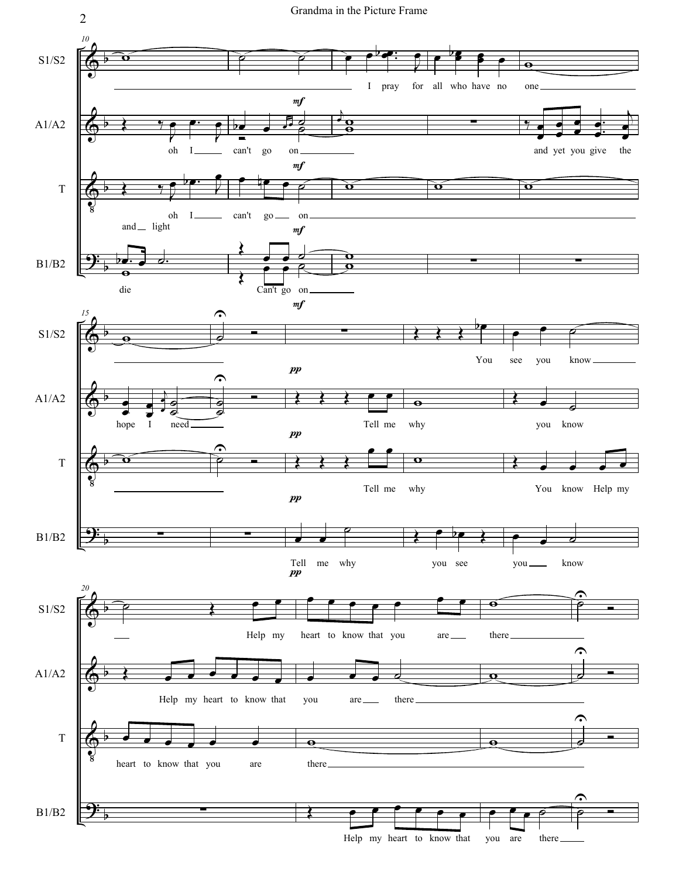

Grandma in the Picture Frame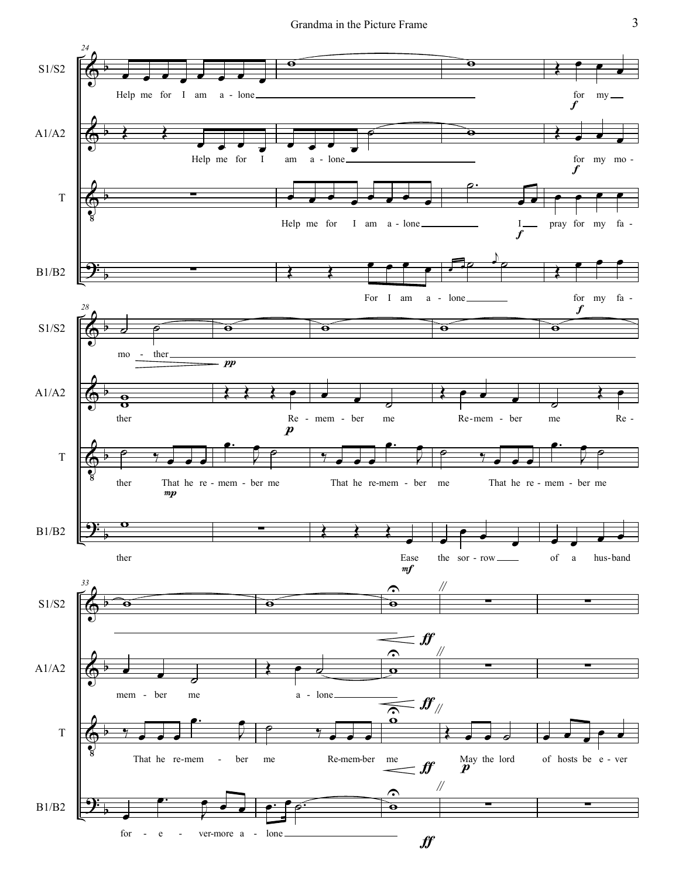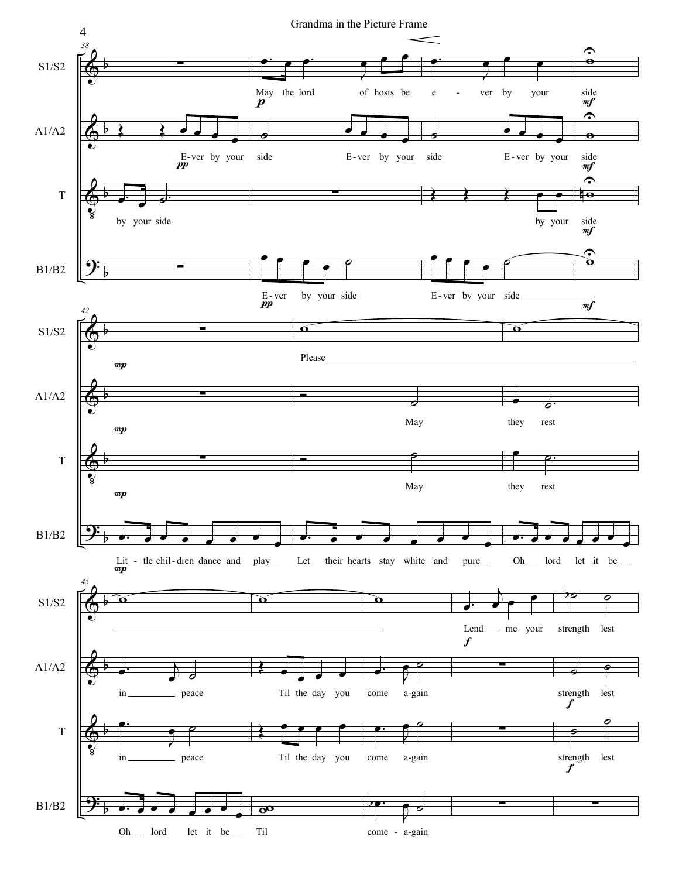